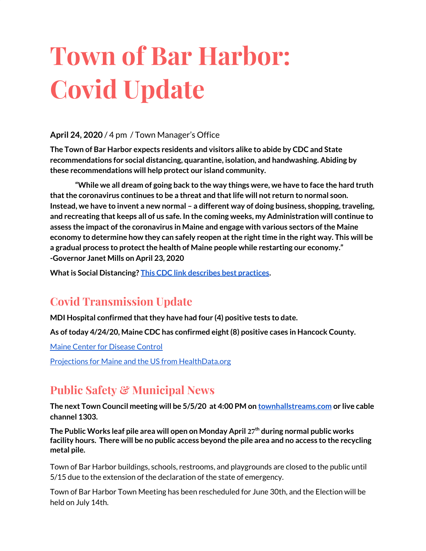# **Town of Bar Harbor: Covid Update**

### **April 24, 2020** / 4 pm / Town Manager's Office

**The Town of Bar Harbor expects residents and visitors alike to abide by CDC and State recommendations for social distancing, quarantine, isolation, and handwashing. Abiding by these recommendations will help protect our island community.**

**"While we all dream of going back to the way things were, we have to face the hard truth that the coronavirus continues to be a threat and that life will not return to normal soon. Instead, we have to invent a new normal – a different way of doing business, shopping, traveling, and recreating that keeps all of us safe. In the coming weeks, my Administration will continue to assess the impact of the coronavirus in Maine and engage with various sectors of the Maine economy to determine how they can safely reopen at the right time in the right way. This will be a gradual process to protect the health of Maine people while restarting our economy." -Governor Janet Mills on April 23, 2020**

**What is Social Distancing? [This CDC link describes best practices](https://www.cdc.gov/coronavirus/2019-ncov/prevent-getting-sick/social-distancing.html).**

# **Covid Transmission Update**

**MDI Hospital confirmed that they have had four (4) positive tests to date.**

**As of today 4/24/20, Maine CDC has confirmed eight (8) positive cases in Hancock County.**

[Maine Center for Disease Control](https://www.maine.gov/dhhs/mecdc/infectious-disease/epi/airborne/coronavirus.shtml)

[Projections for Maine and the US from HealthData.org](https://covid19.healthdata.org/united-states-of-america/maine)

# **Public Safety & Municipal News**

**The next Town Council meeting will be 5/5/20 at 4:00 PM on [townhallstreams.com](http://townhallstreams.com/) or live cable channel 1303.**

**The Public Works leaf pile area will open on Monday April 27th during normal public works facility hours. There will be no public access beyond the pile area and no access to the recycling metal pile.** 

Town of Bar Harbor buildings, schools, restrooms, and playgrounds are closed to the public until 5/15 due to the extension of the declaration of the state of emergency.

Town of Bar Harbor Town Meeting has been rescheduled for June 30th, and the Election will be held on July 14th.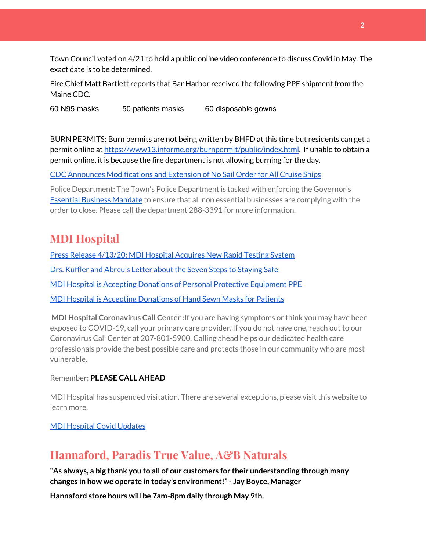Town Council voted on 4/21 to hold a public online video conference to discuss Covid in May. The exact date is to be determined.

Fire Chief Matt Bartlett reports that Bar Harbor received the following PPE shipment from the Maine CDC.

60 N95 masks 50 patients masks 60 disposable gowns

BURN PERMITS: Burn permits are not being written by BHFD at this time but residents can get a permit online at [https://www13.informe.org/burnpermit/public/index.html.](https://www13.informe.org/burnpermit/public/index.html) If unable to obtain a permit online, it is because the fire department is not allowing burning for the day.

CDC Announces [Modifications](https://www.cdc.gov/media/releases/2020/s0409-modifications-extension-no-sail-ships.html) and Extension of No Sail Order for All Cruise Ships

Police Department: The Town's Police Department is tasked with enforcing the Governor's Essential Business [Mandate](https://www.maine.gov/governor/mills/sites/maine.gov.governor.mills/files/inline-files/An%20Order%20Regarding%20Essential%20Businesses%20and%20Operations%20.pdf) to ensure that all non essential businesses are complying with the order to close. Please call the department 288-3391 for more information.

## **MDI Hospital**

Press Release [4/13/20:](https://www.mdihospital.org/news/mount-desert-island-hospital-acquires-cepheid-genexpert-rapid-point-of-care-testing-system-for-the-new-coronavirus-and-many-other-infectious-diseases/) MDI Hospital Acquires New Rapid Testing System Drs. Kuffler and [Abreu's](https://www.mdislander.com/opinions/commentary-seven-steps-to-staying-safe) Letter about the Seven Steps to Staying Safe MDI Hospital is Accepting Donations of Personal Protective [Equipment](https://www.mdihospital.org/news/personal-protective-equipment-donations-gratefully-accepted/) PPE MDI Hospital is Accepting [Donations](https://www.facebook.com/mdihospital/photos/a.10150443281311626/10156634020856626/?type=3&theater) of Hand Sewn Masks for Patients

**MDI Hospital Coronavirus Call Center :**If you are having symptoms or think you may have been exposed to COVID-19, call your primary care provider. If you do not have one, reach out to our Coronavirus Call Center at 207-801-5900. Calling ahead helps our dedicated health care professionals provide the best possible care and protects those in our community who are most vulnerable.

Remember: **PLEASE CALL AHEAD**

MDI Hospital has suspended visitation. There are several exceptions, please visit this website to learn more.

MDI [Hospital](https://www.mdihospital.org/covid-19/?fbclid=IwAR2Q31t4a6H1pxDfUeqSzFcmp5UbRlSwe93i58zEkHstfexp5EgoHB5cxGU) Covid Updates

## **Hannaford, Paradis True Value, A&B Naturals**

**"As always, a big thank you to all of our customers for their understanding through many changes in how we operate in today's environment!"- Jay Boyce, Manager**

**Hannaford store hours will be 7am-8pm daily through May 9th.**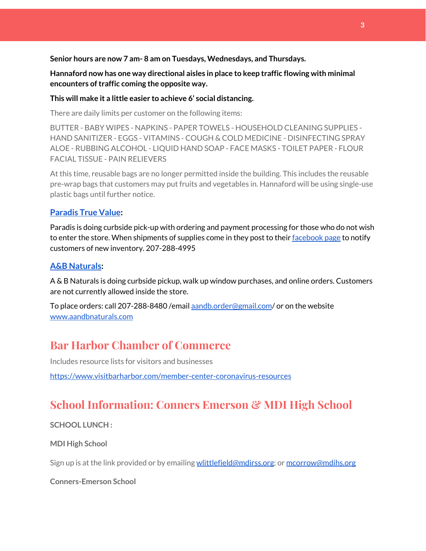**Senior hours are now 7 am- 8 am on Tuesdays, Wednesdays, and Thursdays.**

**Hannaford now has one way directional aisles in place to keep traffic flowing with minimal encounters oftraffic coming the opposite way.**

#### **This will make it a little easier to achieve 6' social distancing.**

There are daily limits per customer on the following items:

BUTTER - BABY WIPES - NAPKINS - PAPER TOWELS - HOUSEHOLD CLEANING SUPPLIES - HAND SANITIZER - EGGS - VITAMINS - COUGH & COLD MEDICINE - DISINFECTING SPRAY ALOE - RUBBING ALCOHOL - LIQUID HAND SOAP - FACE MASKS - TOILET PAPER - FLOUR FACIAL TISSUE - PAIN RELIEVERS

At this time, reusable bags are no longer permitted inside the building. This includes the reusable pre-wrap bags that customers may put fruits and vegetables in. Hannaford will be using single-use plastic bags until further notice.

#### **[Paradis](https://www.facebook.com/ParadisTrueValue/) True Value:**

Paradis is doing curbside pick-up with ordering and payment processing for those who do not wish to enter the store. When shipments of supplies come in they post to their [facebook](https://www.facebook.com/ParadisTrueValue/) page to notify customers of new inventory. 207-288-4995

#### **A&B [Naturals:](http://aandbnaturals.com/)**

A & B Naturals is doing curbside pickup, walk up window purchases, and online orders. Customers are not currently allowed inside the store.

To place orders: call 207-288-8480 /email [aandb.order@gmail.com](mailto:aandb.order@gmail.com)/ or on the website [www.aandbnaturals.com](http://www.aandbnaturals.com/)

## **Bar Harbor Chamber of Commerce**

Includes resource lists for visitors and businesses

<https://www.visitbarharbor.com/member-center-coronavirus-resources>

# **School Information: Conners Emerson & MDI High School**

#### **SCHOOL LUNCH :**

**MDI High School**

Sign up is at the link provided or by emailing [wlittlefield@mdirss.org;](mailto:wlittlefield@mdirss.org) or [mcorrow@mdihs.org](mailto:mcorrow@mdihs.org)

**Conners-Emerson School**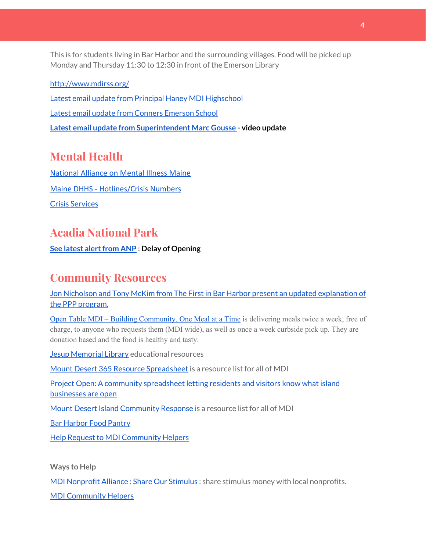This is for students living in Bar Harbor and the surrounding villages. Food will be picked up Monday and Thursday 11:30 to 12:30 in front of the Emerson Library

<http://www.mdirss.org/> Latest email update from Principal Haney MDI [Highschool](https://docs.google.com/document/d/1OKDsYNtOgV0FI9xAcXwQvenOKLV0S2vBg1o5jtu5CrE/edit?usp=sharing) Latest email update from Conners [Emerson](https://docs.google.com/document/d/1v3pgkG6Q-9S3gisuUIj4etPVDwgBKl4P00JBkvZr-kk/edit?usp=sharing) School **Latest email update from [Superintendent](https://docs.google.com/document/d/1fzeCbc8gpTSKmUaDoQH1Avx5PVl-h0reFphXrT1eUNA/edit?usp=sharing) Marc Gousse - video update**

# **Mental Health**

[National Alliance on Mental Illness Maine](https://www.namimaine.org/) [Maine DHHS - Hotlines/Crisis Numbers](https://www.maine.gov/dhhs/hotlines.shtml) Crisis [Services](https://www.sweetser.org/programs-services/services-for-adults/crisis-services/)

# **Acadia National Park**

#### **See latest alert from ANP** : Delay of Opening

## **Community Resources**

Jon Nicholson and Tony McKim from The First in Bar Harbor present an updated [explanation](https://www.facebook.com/FirstNationalBankMaine/videos/544908349735501/?epa=SEARCH_BOX) of the PPP [program.](https://www.facebook.com/FirstNationalBankMaine/videos/544908349735501/?epa=SEARCH_BOX)

Open Table MDI – Building [Community,](https://www.opentablemdi.org/) One Meal at a Time is delivering meals twice a week, free of charge, to anyone who requests them (MDI wide), as well as once a week curbside pick up. They are donation based and the food is healthy and tasty.

Jesup [Memorial](https://jesuplibrary.org/) Library educational resources

Mount Desert 365 Resource [Spreadsheet](https://docs.google.com/spreadsheets/d/1okAx6HSsgXZY9CGH07Dzi6rqe7a6m4dLCPKot2Li7Ek/edit?usp=sharing) is a resource list for all of MDI

Project Open: A community [spreadsheet](https://docs.google.com/spreadsheets/d/1dBicBiBXGzzWEFd9oqL7EBDbFWjDCPl6SSMea_Kt4pc/htmlview#) letting residents and visitors know what island [businesses](https://docs.google.com/spreadsheets/d/1dBicBiBXGzzWEFd9oqL7EBDbFWjDCPl6SSMea_Kt4pc/htmlview#) are open

Mount Desert Island [Community](https://www.mdicr.org/) Response is a resource list for all of MDI

Bar [Harbor](https://www.barharborfoodpantry.org/) Food Pantry

Help Request to MDI [Community](https://docs.google.com/forms/d/e/1FAIpQLSeZfu0tCcthHc9oL7tPomVRdniYiE7nbT_kkK9iCSRgqDhOvQ/viewform) Helpers

**Ways to Help**

MDI [Nonprofit](https://sites.google.com/mdina.org/public/sos-mdi?authuser=0) Alliance : Share Our Stimulus : share stimulus money with local nonprofits.

MDI [Community](https://docs.google.com/forms/d/e/1FAIpQLSe_CJUFdVvwJkmymWRqUeK8bx3m7n4uSOuUPYHqXSAyH2DBoQ/viewform?fbclid=IwAR25hjnWGhnMP0lOWMcBPRBumhtQCJGZO4hlk-T-VjNGZljL1kVX5pWrL6U) Helpers